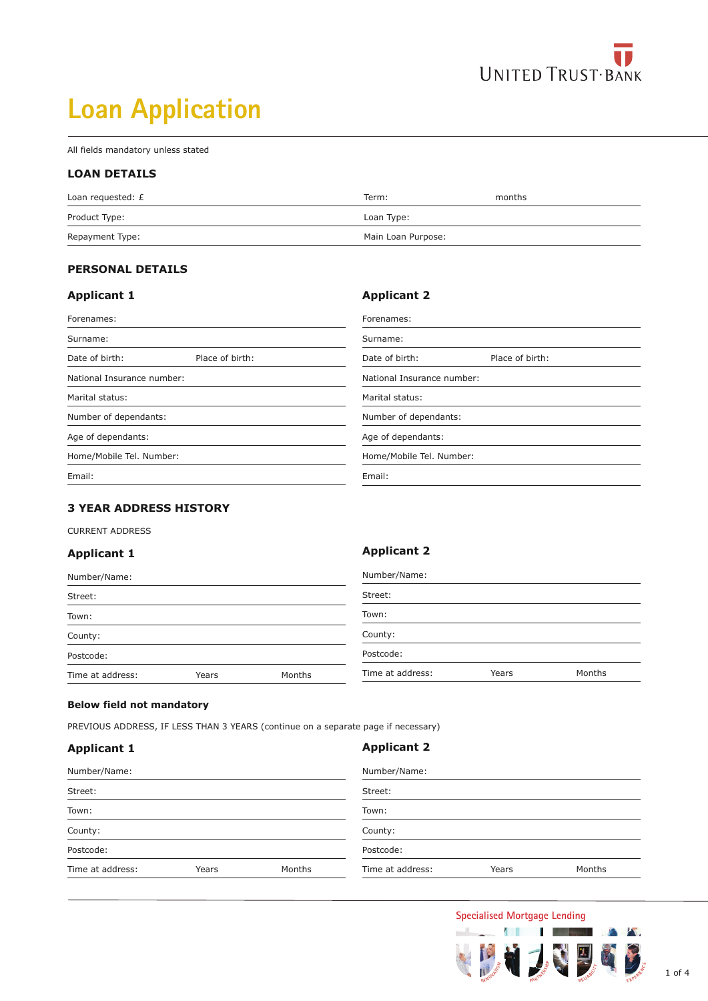

# **Loan Application**

All fields mandatory unless stated

#### **LOAN DETAILS**

| Loan requested: £ | Term:              | months |
|-------------------|--------------------|--------|
| Product Type:     | Loan Type:         |        |
| Repayment Type:   | Main Loan Purpose: |        |

**Applicant 2**

#### **PERSONAL DETAILS**

#### **Applicant 1**

| Forenames:                                           |                 | Forenames:                 |                       |  |
|------------------------------------------------------|-----------------|----------------------------|-----------------------|--|
| Surname:                                             |                 | Surname:                   |                       |  |
| Date of birth:                                       | Place of birth: | Date of birth:             | Place of birth:       |  |
| National Insurance number:                           |                 | National Insurance number: |                       |  |
| Marital status:<br>Marital status:                   |                 |                            |                       |  |
| Number of dependants:                                |                 |                            | Number of dependants: |  |
| Age of dependants:<br>Age of dependants:             |                 |                            |                       |  |
| Home/Mobile Tel. Number:<br>Home/Mobile Tel. Number: |                 |                            |                       |  |
| Email:                                               |                 | Email:                     |                       |  |

#### **3 YEAR ADDRESS HISTORY**

CURRENT ADDRESS

#### **Applicant 1**

| Number/Name:     |       | Number/Name: |                  |       |        |
|------------------|-------|--------------|------------------|-------|--------|
| Street:          |       | Street:      |                  |       |        |
| Town:            |       |              | Town:            |       |        |
| County:          |       |              | County:          |       |        |
| Postcode:        |       |              | Postcode:        |       |        |
| Time at address: | Years | Months       | Time at address: | Years | Months |

#### **Below field not mandatory**

PREVIOUS ADDRESS, IF LESS THAN 3 YEARS (continue on a separate page if necessary)

#### **Applicant 1**

#### **Applicant 2**

**Applicant 2**

| Number/Name:     |       | Number/Name: |                  |       |        |
|------------------|-------|--------------|------------------|-------|--------|
| Street:          |       | Street:      |                  |       |        |
| Town:            |       |              | Town:            |       |        |
| County:          |       | County:      |                  |       |        |
| Postcode:        |       |              | Postcode:        |       |        |
| Time at address: | Years | Months       | Time at address: | Years | Months |

### **Specialised Mortgage Lending**



W.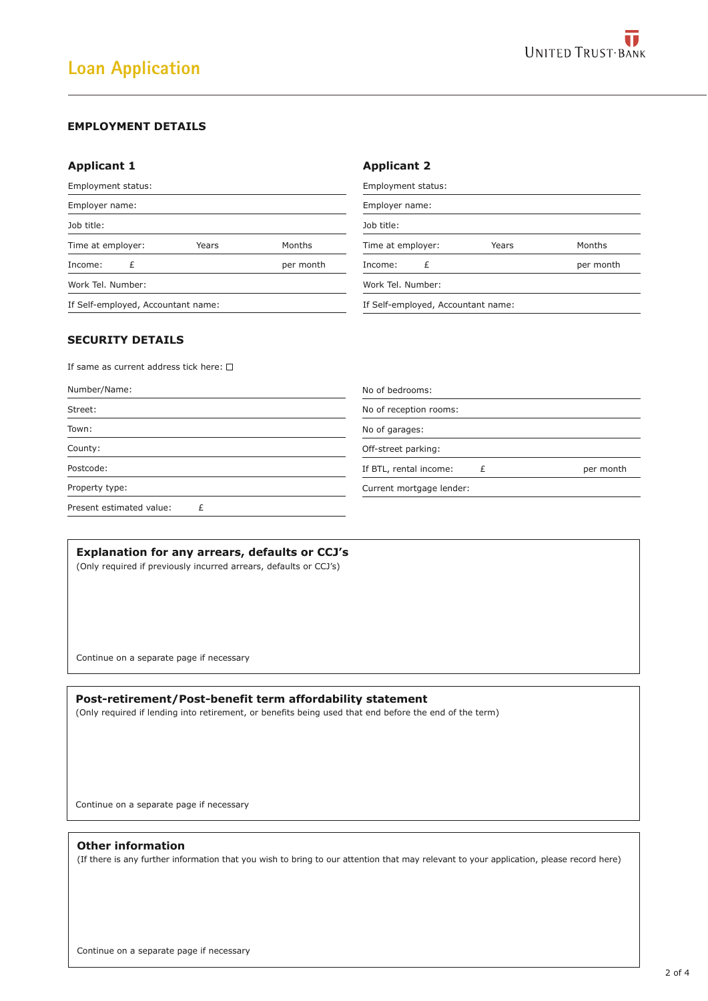#### **EMPLOYMENT DETAILS**

#### **Applicant 1**

| <b>Applicant 1</b>                 |           | <b>Applicant 2</b>                 |           |
|------------------------------------|-----------|------------------------------------|-----------|
| Employment status:                 |           | Employment status:                 |           |
| Employer name:                     |           | Employer name:                     |           |
| Job title:                         |           | Job title:                         |           |
| Time at employer:<br>Years         | Months    | Time at employer:<br>Years         | Months    |
| £<br>Income:                       | per month | £<br>Income:                       | per month |
| Work Tel. Number:                  |           | Work Tel. Number:                  |           |
| If Self-employed, Accountant name: |           | If Self-employed, Accountant name: |           |
|                                    |           |                                    |           |

#### **SECURITY DETAILS**

If same as current address tick here:  $\square$ 

| Number/Name:             | No of bedrooms:                     |
|--------------------------|-------------------------------------|
| Street:                  | No of reception rooms:              |
| Town:                    | No of garages:                      |
| County:                  | Off-street parking:                 |
| Postcode:                | If BTL, rental income:<br>per month |
| Property type:           | Current mortgage lender:            |
| Present estimated value: |                                     |

#### **Explanation for any arrears, defaults or CCJ's**

(Only required if previously incurred arrears, defaults or CCJ's)

Continue on a separate page if necessary

## **Post-retirement/Post-benefit term affordability statement**

(Only required if lending into retirement, or benefits being used that end before the end of the term)

Continue on a separate page if necessary

#### **Other information**

(If there is any further information that you wish to bring to our attention that may relevant to your application, please record here)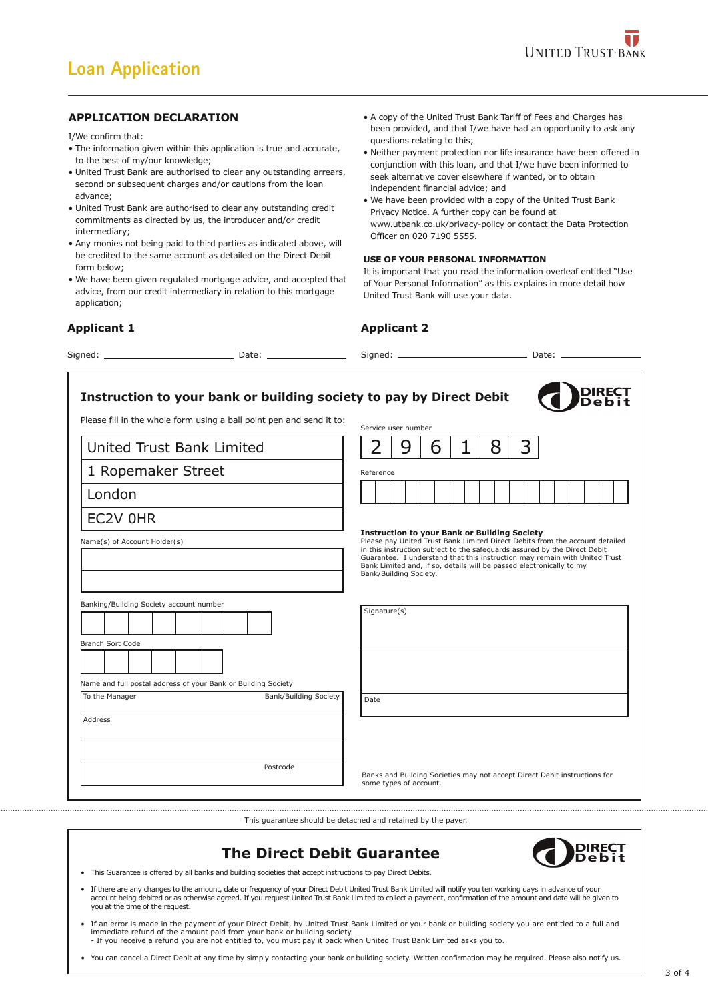#### **APPLICATION DECLARATION**

I/We confirm that:

- The information given within this application is true and accurate, to the best of my/our knowledge;
- United Trust Bank are authorised to clear any outstanding arrears, second or subsequent charges and/or cautions from the loan advance;
- United Trust Bank are authorised to clear any outstanding credit commitments as directed by us, the introducer and/or credit intermediary;
- Any monies not being paid to third parties as indicated above, will be credited to the same account as detailed on the Direct Debit form below;
- We have been given regulated mortgage advice, and accepted that advice, from our credit intermediary in relation to this mortgage application;

#### **Applicant 1**

Name(s) of Account Holder(s)

London

EC2V 0HR

Branch Sort Code

To the Manager

Address

Signed: Date:

- A copy of the United Trust Bank Tariff of Fees and Charges has been provided, and that I/we have had an opportunity to ask any questions relating to this;
- Neither payment protection nor life insurance have been offered in conjunction with this loan, and that I/we have been informed to seek alternative cover elsewhere if wanted, or to obtain independent financial advice; and
- We have been provided with a copy of the United Trust Bank Privacy Notice. A further copy can be found at www.utbank.co.uk/privacy-policy or contact the Data Protection Officer on 020 7190 5555.

#### **USE OF YOUR PERSONAL INFORMATION**

It is important that you read the information overleaf entitled "Use of Your Personal Information" as this explains in more detail how United Trust Bank will use your data.

#### **Applicant 2**

Signed: Date:

**DIRECT Instruction to your bank or building society to pay by Direct Debit** Please fill in the whole form using a ball point pen and send it to: Service user number  $2 | 9 | 6 | 1 | 8 | 3$ United Trust Bank Limited 1 Ropemaker Street Reference **Instruction to your Bank or Building Society** Please pay United Trust Bank Limited Direct Debits from the account detailed in this instruction subject to the safeguards assured by the Direct Debit Guarantee. I understand that this instruction may remain with United Trust Bank Limited and, if so, details will be passed electronically to my Bank/Building Society. Banking/Building Society account number Signature(s) Name and full postal address of your Bank or Building Society Bank/Building Society Date

> Banks and Building Societies may not accept Direct Debit instructions for some types of account.

This guarantee should be detached and retained by the payer.



• This Guarantee is offered by all banks and building societies that accept instructions to pay Direct Debits.

Postcode

If there are any changes to the amount, date or frequency of your Direct Debit United Trust Bank Limited will notify you ten working days in advance of your<br>account being debited or as otherwise agreed. If you request Unit you at the time of the request.

**The Direct Debit Guarantee**

• If an error is made in the payment of your Direct Debit, by United Trust Bank Limited or your bank or building society you are entitled to a full and immediate refund of the amount paid from your bank or building society - If you receive a refund you are not entitled to, you must pay it back when United Trust Bank Limited asks you to.

• You can cancel a Direct Debit at any time by simply contacting your bank or building society. Written confirmation may be required. Please also notify us.